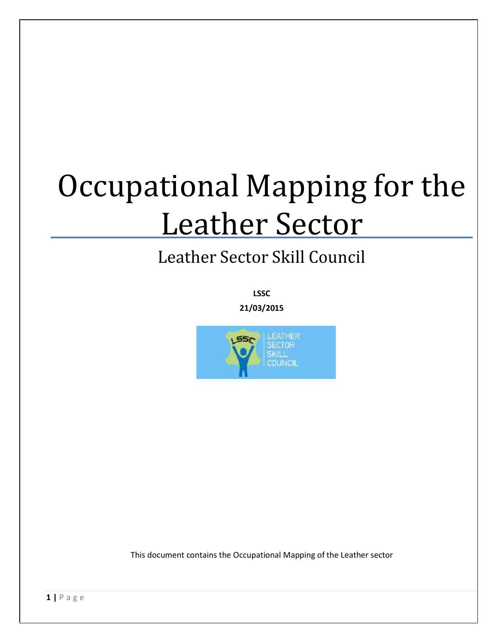# Occupational Mapping for the Leather Sector

# Leather Sector Skill Council

**LSSC**

**21/03/2015**



This document contains the Occupational Mapping of the Leather sector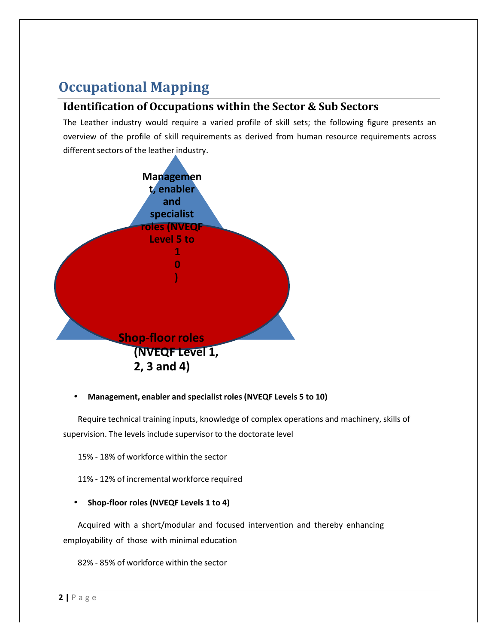# **Occupational Mapping**

#### **Identification of Occupations within the Sector & Sub Sectors**

The Leather industry would require a varied profile of skill sets; the following figure presents an overview of the profile of skill requirements as derived from human resource requirements across different sectors of the leather industry.



#### **Management, enabler and specialist roles (NVEQF Levels 5 to 10)**

Require technical training inputs, knowledge of complex operations and machinery, skills of supervision. The levels include supervisor to the doctorate level

15% - 18% of workforce within the sector

11% - 12% of incremental workforce required

#### **Shop-floor roles (NVEQF Levels 1 to 4)**

Acquired with a short/modular and focused intervention and thereby enhancing employability of those with minimal education

**22% - 85% of workforce**<br>**2** | P a g e 82% - 85% of workforce within the sector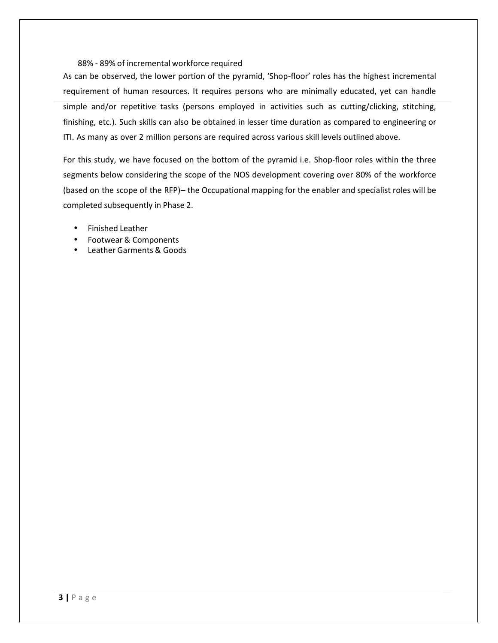#### 88% - 89% of incremental workforce required

As can be observed, the lower portion of the pyramid, 'Shop-floor' roles has the highest incremental requirement of human resources. It requires persons who are minimally educated, yet can handle simple and/or repetitive tasks (persons employed in activities such as cutting/clicking, stitching, finishing, etc.). Such skills can also be obtained in lesser time duration as compared to engineering or ITI. As many as over 2 million persons are required across various skill levels outlined above.

For this study, we have focused on the bottom of the pyramid i.e. Shop-floor roles within the three segments below considering the scope of the NOS development covering over 80% of the workforce (based on the scope of the RFP)– the Occupational mapping for the enabler and specialist roles will be completed subsequently in Phase 2.

- Finished Leather
- Footwear & Components
- Leather Garments & Goods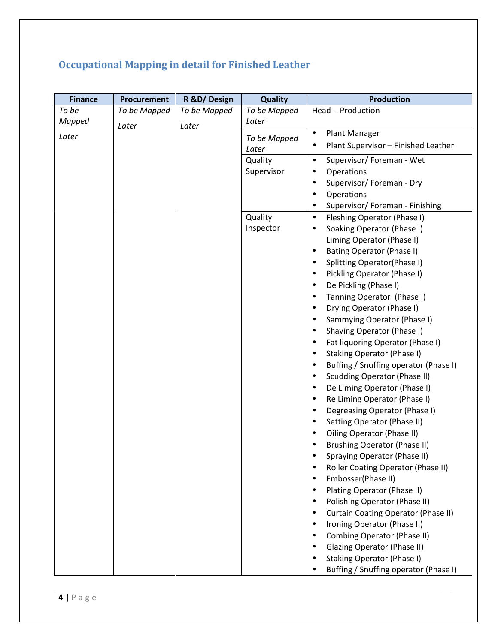## **Occupational Mapping in detail for Finished Leather**

| <b>Finance</b>     | <b>Procurement</b> | R &D/Design  | <b>Quality</b> | <b>Production</b>                                                                    |
|--------------------|--------------------|--------------|----------------|--------------------------------------------------------------------------------------|
| To be              | To be Mapped       | To be Mapped | To be Mapped   | Head - Production                                                                    |
| Mapped             | Later              | Later        | Later          |                                                                                      |
| Later              |                    |              | To be Mapped   | Plant Manager<br>$\bullet$                                                           |
|                    |                    |              | Later          | Plant Supervisor - Finished Leather<br>٠                                             |
|                    |                    |              | Quality        | Supervisor/Foreman - Wet<br>$\bullet$                                                |
|                    |                    |              | Supervisor     | Operations<br>$\bullet$                                                              |
|                    |                    |              |                | Supervisor/Foreman - Dry<br>$\bullet$                                                |
|                    |                    |              |                | Operations<br>$\bullet$                                                              |
|                    |                    |              |                | Supervisor/ Foreman - Finishing<br>$\bullet$                                         |
|                    |                    |              | Quality        | Fleshing Operator (Phase I)<br>$\bullet$                                             |
|                    |                    |              | Inspector      | Soaking Operator (Phase I)<br>$\bullet$                                              |
|                    |                    |              |                | Liming Operator (Phase I)                                                            |
|                    |                    |              |                | <b>Bating Operator (Phase I)</b><br>$\bullet$                                        |
|                    |                    |              |                | Splitting Operator(Phase I)<br>$\bullet$<br>Pickling Operator (Phase I)<br>$\bullet$ |
|                    |                    |              |                | De Pickling (Phase I)<br>$\bullet$                                                   |
|                    |                    |              |                | Tanning Operator (Phase I)<br>$\bullet$                                              |
|                    |                    |              |                | Drying Operator (Phase I)<br>$\bullet$                                               |
|                    |                    |              |                | Sammying Operator (Phase I)<br>$\bullet$                                             |
|                    |                    |              |                | Shaving Operator (Phase I)<br>$\bullet$                                              |
|                    |                    |              |                | Fat liquoring Operator (Phase I)<br>$\bullet$                                        |
|                    |                    |              |                | Staking Operator (Phase I)<br>$\bullet$                                              |
|                    |                    |              |                | Buffing / Snuffing operator (Phase I)<br>$\bullet$                                   |
|                    |                    |              |                | <b>Scudding Operator (Phase II)</b><br>$\bullet$                                     |
|                    |                    |              |                | De Liming Operator (Phase I)<br>$\bullet$                                            |
|                    |                    |              |                | Re Liming Operator (Phase I)<br>$\bullet$                                            |
|                    |                    |              |                | Degreasing Operator (Phase I)<br>$\bullet$                                           |
|                    |                    |              |                | Setting Operator (Phase II)<br>$\bullet$                                             |
|                    |                    |              |                | Oiling Operator (Phase II)                                                           |
|                    |                    |              |                | <b>Brushing Operator (Phase II)</b><br>$\bullet$                                     |
|                    |                    |              |                | Spraying Operator (Phase II)                                                         |
|                    |                    |              |                | Roller Coating Operator (Phase II)                                                   |
|                    |                    |              |                | Embosser(Phase II)                                                                   |
|                    |                    |              |                | Plating Operator (Phase II)                                                          |
|                    |                    |              |                | Polishing Operator (Phase II)                                                        |
|                    |                    |              |                | <b>Curtain Coating Operator (Phase II)</b>                                           |
|                    |                    |              |                | Ironing Operator (Phase II)                                                          |
|                    |                    |              |                | Combing Operator (Phase II)                                                          |
|                    |                    |              |                | <b>Glazing Operator (Phase II)</b>                                                   |
|                    |                    |              |                | Staking Operator (Phase I)<br>Buffing / Snuffing operator (Phase I)                  |
|                    |                    |              |                |                                                                                      |
|                    |                    |              |                |                                                                                      |
| $4   P \text{age}$ |                    |              |                |                                                                                      |
|                    |                    |              |                |                                                                                      |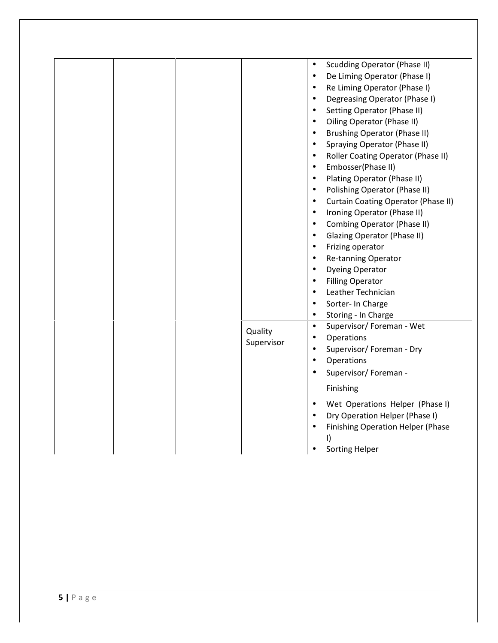|            | Quality<br>Supervisor | <b>Scudding Operator (Phase II)</b><br>$\bullet$<br>De Liming Operator (Phase I)<br>$\bullet$<br>Re Liming Operator (Phase I)<br>$\bullet$<br>Degreasing Operator (Phase I)<br>$\bullet$<br>Setting Operator (Phase II)<br>$\bullet$<br>Oiling Operator (Phase II)<br>$\bullet$<br><b>Brushing Operator (Phase II)</b><br>$\bullet$<br>Spraying Operator (Phase II)<br>$\bullet$<br>Roller Coating Operator (Phase II)<br>$\bullet$<br>Embosser(Phase II)<br>$\bullet$<br>Plating Operator (Phase II)<br>$\bullet$<br>Polishing Operator (Phase II)<br>$\bullet$<br>Curtain Coating Operator (Phase II)<br>$\bullet$<br>Ironing Operator (Phase II)<br>$\bullet$<br>Combing Operator (Phase II)<br>$\bullet$<br>Glazing Operator (Phase II)<br>$\bullet$<br>Frizing operator<br>$\bullet$<br>Re-tanning Operator<br>$\bullet$<br><b>Dyeing Operator</b><br>$\bullet$<br><b>Filling Operator</b><br>$\bullet$<br>Leather Technician<br>$\bullet$<br>Sorter- In Charge<br>$\bullet$<br>Storing - In Charge<br>$\bullet$<br>Supervisor/ Foreman - Wet<br>$\bullet$<br>Operations<br>$\bullet$<br>Supervisor/Foreman - Dry<br>$\bullet$<br>Operations<br>$\bullet$<br>Supervisor/Foreman -<br>$\bullet$<br>Finishing<br>Wet Operations Helper (Phase I)<br>$\bullet$<br>Dry Operation Helper (Phase I)<br>Finishing Operation Helper (Phase<br>$\bullet$<br>I)<br><b>Sorting Helper</b><br>$\bullet$ |
|------------|-----------------------|--------------------------------------------------------------------------------------------------------------------------------------------------------------------------------------------------------------------------------------------------------------------------------------------------------------------------------------------------------------------------------------------------------------------------------------------------------------------------------------------------------------------------------------------------------------------------------------------------------------------------------------------------------------------------------------------------------------------------------------------------------------------------------------------------------------------------------------------------------------------------------------------------------------------------------------------------------------------------------------------------------------------------------------------------------------------------------------------------------------------------------------------------------------------------------------------------------------------------------------------------------------------------------------------------------------------------------------------------------------------------------------------------|
| $5$   Page |                       |                                                                                                                                                                                                                                                                                                                                                                                                                                                                                                                                                                                                                                                                                                                                                                                                                                                                                                                                                                                                                                                                                                                                                                                                                                                                                                                                                                                                  |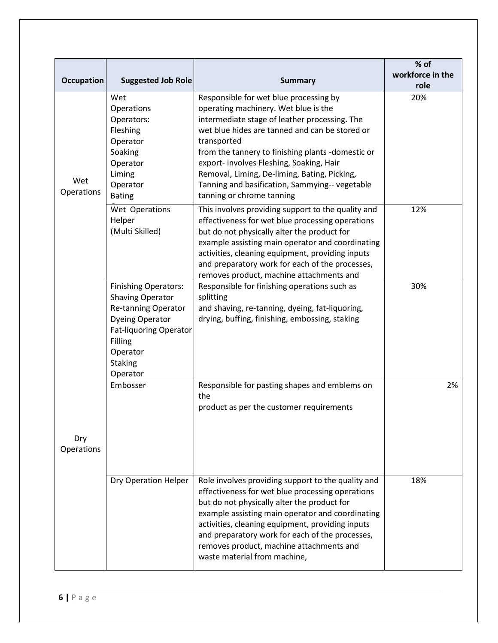| <b>Occupation</b> | <b>Suggested Job Role</b>                                                                                                                                                                     | <b>Summary</b>                                                                                                                                                                                                                                                                                                                                                                                                                   | % of<br>workforce in the<br>role |
|-------------------|-----------------------------------------------------------------------------------------------------------------------------------------------------------------------------------------------|----------------------------------------------------------------------------------------------------------------------------------------------------------------------------------------------------------------------------------------------------------------------------------------------------------------------------------------------------------------------------------------------------------------------------------|----------------------------------|
| Wet<br>Operations | Wet<br>Operations<br>Operators:<br>Fleshing<br>Operator<br>Soaking<br>Operator<br>Liming<br>Operator<br><b>Bating</b>                                                                         | Responsible for wet blue processing by<br>operating machinery. Wet blue is the<br>intermediate stage of leather processing. The<br>wet blue hides are tanned and can be stored or<br>transported<br>from the tannery to finishing plants -domestic or<br>export- involves Fleshing, Soaking, Hair<br>Removal, Liming, De-liming, Bating, Picking,<br>Tanning and basification, Sammying-- vegetable<br>tanning or chrome tanning | 20%                              |
|                   | Wet Operations<br>Helper<br>(Multi Skilled)                                                                                                                                                   | This involves providing support to the quality and<br>effectiveness for wet blue processing operations<br>but do not physically alter the product for<br>example assisting main operator and coordinating<br>activities, cleaning equipment, providing inputs<br>and preparatory work for each of the processes,<br>removes product, machine attachments and                                                                     | 12%                              |
|                   | <b>Finishing Operators:</b><br><b>Shaving Operator</b><br>Re-tanning Operator<br><b>Dyeing Operator</b><br><b>Fat-liquoring Operator</b><br>Filling<br>Operator<br><b>Staking</b><br>Operator | Responsible for finishing operations such as<br>splitting<br>and shaving, re-tanning, dyeing, fat-liquoring,<br>drying, buffing, finishing, embossing, staking                                                                                                                                                                                                                                                                   | 30%                              |
| Dry<br>Operations | Embosser                                                                                                                                                                                      | Responsible for pasting shapes and emblems on<br>the<br>product as per the customer requirements                                                                                                                                                                                                                                                                                                                                 | 2%                               |
|                   | Dry Operation Helper                                                                                                                                                                          | Role involves providing support to the quality and<br>effectiveness for wet blue processing operations<br>but do not physically alter the product for<br>example assisting main operator and coordinating<br>activities, cleaning equipment, providing inputs<br>and preparatory work for each of the processes,<br>removes product, machine attachments and<br>waste material from machine,                                     | 18%                              |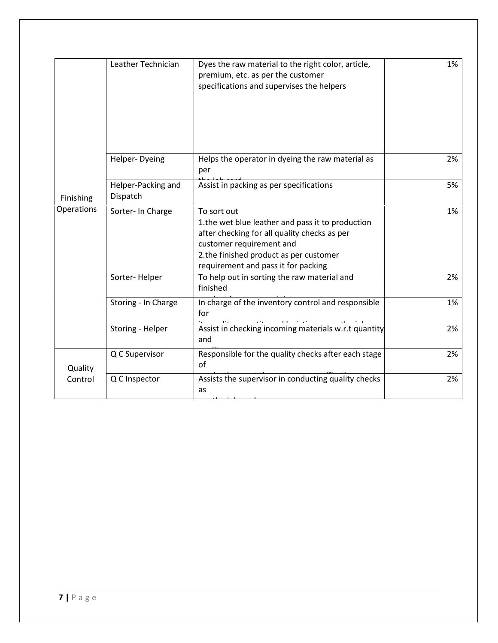|            | Leather Technician             | Dyes the raw material to the right color, article,<br>premium, etc. as per the customer<br>specifications and supervises the helpers                                                                                         | 1% |
|------------|--------------------------------|------------------------------------------------------------------------------------------------------------------------------------------------------------------------------------------------------------------------------|----|
|            | Helper-Dyeing                  | Helps the operator in dyeing the raw material as<br>per                                                                                                                                                                      | 2% |
| Finishing  | Helper-Packing and<br>Dispatch | Assist in packing as per specifications                                                                                                                                                                                      | 5% |
| Operations | Sorter- In Charge              | To sort out<br>1.the wet blue leather and pass it to production<br>after checking for all quality checks as per<br>customer requirement and<br>2.the finished product as per customer<br>requirement and pass it for packing | 1% |
|            | Sorter-Helper                  | To help out in sorting the raw material and<br>finished                                                                                                                                                                      | 2% |
|            | Storing - In Charge            | In charge of the inventory control and responsible<br>for                                                                                                                                                                    | 1% |
|            | Storing - Helper               | Assist in checking incoming materials w.r.t quantity<br>and                                                                                                                                                                  | 2% |
| Quality    | Q C Supervisor                 | Responsible for the quality checks after each stage<br>of                                                                                                                                                                    | 2% |
| Control    | Q C Inspector                  | Assists the supervisor in conducting quality checks<br>as                                                                                                                                                                    | 2% |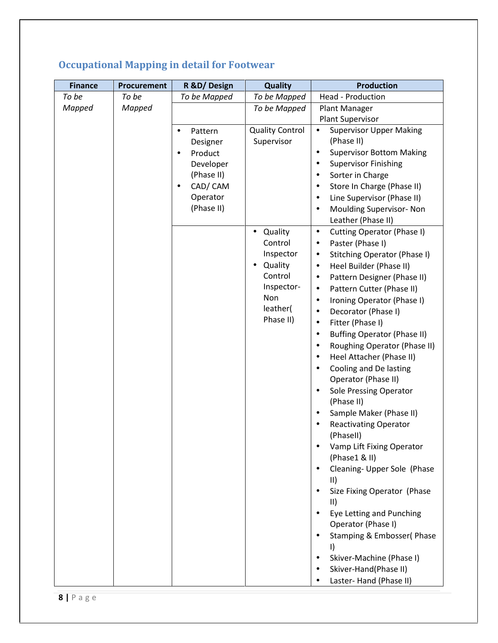| <b>Finance</b> | Procurement | R &D/Design          | <b>Quality</b>         | <b>Production</b>                               |
|----------------|-------------|----------------------|------------------------|-------------------------------------------------|
| To be          | To be       | To be Mapped         | To be Mapped           | <b>Head - Production</b>                        |
| Mapped         | Mapped      |                      | To be Mapped           | Plant Manager                                   |
|                |             |                      |                        | Plant Supervisor                                |
|                |             | Pattern<br>$\bullet$ | <b>Quality Control</b> | <b>Supervisor Upper Making</b><br>$\bullet$     |
|                |             | Designer             | Supervisor             | (Phase II)                                      |
|                |             | Product<br>$\bullet$ |                        | <b>Supervisor Bottom Making</b><br>$\bullet$    |
|                |             | Developer            |                        | <b>Supervisor Finishing</b><br>$\bullet$        |
|                |             | (Phase II)           |                        | Sorter in Charge<br>$\bullet$                   |
|                |             | CAD/CAM<br>$\bullet$ |                        | Store In Charge (Phase II)<br>$\bullet$         |
|                |             | Operator             |                        | Line Supervisor (Phase II)<br>$\bullet$         |
|                |             | (Phase II)           |                        | Moulding Supervisor- Non<br>$\bullet$           |
|                |             |                      |                        | Leather (Phase II)                              |
|                |             |                      | Quality<br>$\bullet$   | Cutting Operator (Phase I)<br>$\bullet$         |
|                |             |                      | Control                | Paster (Phase I)<br>$\bullet$                   |
|                |             |                      | Inspector              | Stitching Operator (Phase I)<br>$\bullet$       |
|                |             |                      | Quality                | Heel Builder (Phase II)<br>$\bullet$            |
|                |             |                      | Control                | Pattern Designer (Phase II)<br>$\bullet$        |
|                |             |                      | Inspector-             | Pattern Cutter (Phase II)<br>$\bullet$          |
|                |             |                      | Non                    | Ironing Operator (Phase I)<br>$\bullet$         |
|                |             |                      | leather(               | Decorator (Phase I)<br>$\bullet$                |
|                |             |                      | Phase II)              | Fitter (Phase I)<br>$\bullet$                   |
|                |             |                      |                        | <b>Buffing Operator (Phase II)</b><br>$\bullet$ |
|                |             |                      |                        | Roughing Operator (Phase II)<br>$\bullet$       |
|                |             |                      |                        | Heel Attacher (Phase II)<br>$\bullet$           |
|                |             |                      |                        | Cooling and De lasting<br>$\bullet$             |
|                |             |                      |                        | Operator (Phase II)                             |
|                |             |                      |                        | <b>Sole Pressing Operator</b><br>$\bullet$      |
|                |             |                      |                        | (Phase II)                                      |
|                |             |                      |                        | Sample Maker (Phase II)<br>$\bullet$            |
|                |             |                      |                        | <b>Reactivating Operator</b><br>$\bullet$       |
|                |             |                      |                        | (Phasell)                                       |
|                |             |                      |                        | Vamp Lift Fixing Operator                       |
|                |             |                      |                        | (Phase1 & II)                                   |
|                |             |                      |                        | Cleaning- Upper Sole (Phase<br>$\bullet$        |
|                |             |                      |                        | $\parallel$                                     |
|                |             |                      |                        | Size Fixing Operator (Phase                     |
|                |             |                      |                        | $\parallel$                                     |
|                |             |                      |                        | Eye Letting and Punching                        |
|                |             |                      |                        | Operator (Phase I)                              |
|                |             |                      |                        | Stamping & Embosser(Phase                       |
|                |             |                      |                        | I)                                              |
|                |             |                      |                        | Skiver-Machine (Phase I)<br>$\bullet$           |
|                |             |                      |                        | Skiver-Hand(Phase II)                           |
|                |             |                      |                        | Laster-Hand (Phase II)<br>$\bullet$             |
| $8$   Page     |             |                      |                        |                                                 |

## **Occupational Mapping in detail for Footwear**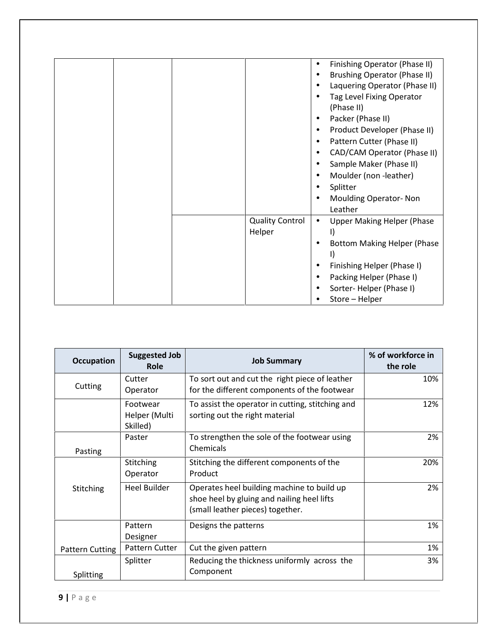| Finishing Operator (Phase II)<br><b>Brushing Operator (Phase II)</b><br>Laquering Operator (Phase II)<br>Tag Level Fixing Operator<br>(Phase II)<br>Packer (Phase II)<br>$\bullet$<br>Product Developer (Phase II)<br>$\bullet$<br>Pattern Cutter (Phase II)<br>CAD/CAM Operator (Phase II)<br>$\bullet$<br>Sample Maker (Phase II)<br>Moulder (non-leather)<br>٠<br>Splitter<br><b>Moulding Operator-Non</b> |
|---------------------------------------------------------------------------------------------------------------------------------------------------------------------------------------------------------------------------------------------------------------------------------------------------------------------------------------------------------------------------------------------------------------|
| Leather<br><b>Quality Control</b><br><b>Upper Making Helper (Phase</b><br>$\bullet$<br>Helper<br><b>Bottom Making Helper (Phase</b><br>I)<br>Finishing Helper (Phase I)<br>Packing Helper (Phase I)<br>Sorter-Helper (Phase I)<br>Store - Helper                                                                                                                                                              |

| <b>Occupation</b> | <b>Suggested Job</b><br>Role          | <b>Job Summary</b>                                                                                                           | % of workforce in<br>the role |
|-------------------|---------------------------------------|------------------------------------------------------------------------------------------------------------------------------|-------------------------------|
| Cutting           | Cutter<br>Operator                    | To sort out and cut the right piece of leather<br>for the different components of the footwear                               | 10%                           |
|                   | Footwear<br>Helper (Multi<br>Skilled) | To assist the operator in cutting, stitching and<br>sorting out the right material                                           | 12%                           |
| Pasting           | Paster                                | To strengthen the sole of the footwear using<br>Chemicals                                                                    | 2%                            |
|                   | Stitching<br>Operator                 | Stitching the different components of the<br>Product                                                                         | 20%                           |
| Stitching         | <b>Heel Builder</b>                   | Operates heel building machine to build up<br>shoe heel by gluing and nailing heel lifts<br>(small leather pieces) together. | 2%                            |
|                   | Pattern<br>Designer                   | Designs the patterns                                                                                                         | 1%                            |
| Pattern Cutting   | <b>Pattern Cutter</b>                 | Cut the given pattern                                                                                                        | 1%                            |
| Splitting         | Splitter                              | Reducing the thickness uniformly across the<br>Component                                                                     | 3%                            |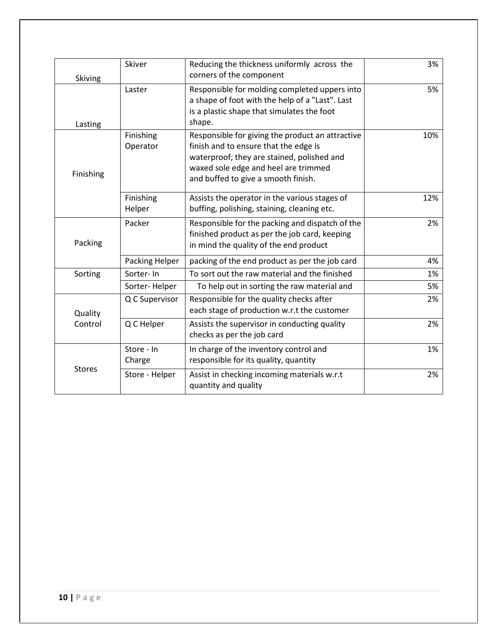| Skiving       | Skiver                | Reducing the thickness uniformly across the<br>corners of the component                                                                                                                                                | 3%  |
|---------------|-----------------------|------------------------------------------------------------------------------------------------------------------------------------------------------------------------------------------------------------------------|-----|
| Lasting       | Laster                | Responsible for molding completed uppers into<br>a shape of foot with the help of a "Last". Last<br>is a plastic shape that simulates the foot<br>shape.                                                               | 5%  |
| Finishing     | Finishing<br>Operator | Responsible for giving the product an attractive<br>finish and to ensure that the edge is<br>waterproof; they are stained, polished and<br>waxed sole edge and heel are trimmed<br>and buffed to give a smooth finish. | 10% |
|               | Finishing<br>Helper   | Assists the operator in the various stages of<br>buffing, polishing, staining, cleaning etc.                                                                                                                           | 12% |
| Packing       | Packer                | Responsible for the packing and dispatch of the<br>finished product as per the job card, keeping<br>in mind the quality of the end product                                                                             | 2%  |
|               | Packing Helper        | packing of the end product as per the job card                                                                                                                                                                         | 4%  |
| Sorting       | Sorter-In             | To sort out the raw material and the finished                                                                                                                                                                          | 1%  |
|               | Sorter-Helper         | To help out in sorting the raw material and                                                                                                                                                                            | 5%  |
| Quality       | Q C Supervisor        | Responsible for the quality checks after<br>each stage of production w.r.t the customer                                                                                                                                | 2%  |
| Control       | Q C Helper            | Assists the supervisor in conducting quality<br>checks as per the job card                                                                                                                                             | 2%  |
|               | Store - In<br>Charge  | In charge of the inventory control and<br>responsible for its quality, quantity                                                                                                                                        | 1%  |
| <b>Stores</b> | Store - Helper        | Assist in checking incoming materials w.r.t<br>quantity and quality                                                                                                                                                    | 2%  |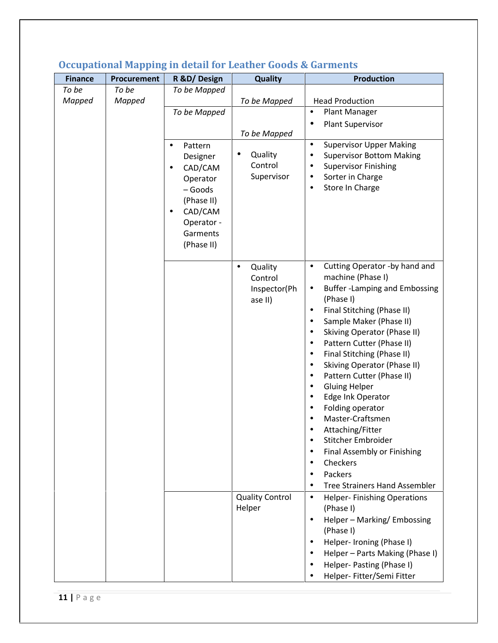| To be<br>To be<br>Mapped<br>Mapped | To be Mapped<br>To be Mapped<br>Pattern<br>٠<br>Designer<br>CAD/CAM<br>٠<br>Operator<br>- Goods<br>(Phase II)<br>CAD/CAM<br>٠<br>Operator -<br>Garments<br>(Phase II) | To be Mapped<br>To be Mapped<br>Quality<br>Control<br>Supervisor<br>Quality<br>$\bullet$<br>Control<br>Inspector(Ph<br>ase II) | <b>Head Production</b><br>Plant Manager<br>$\bullet$<br>Plant Supervisor<br>$\bullet$<br><b>Supervisor Upper Making</b><br>$\bullet$<br><b>Supervisor Bottom Making</b><br>٠<br><b>Supervisor Finishing</b><br>٠<br>Sorter in Charge<br>٠<br>Store In Charge<br>$\bullet$<br>Cutting Operator -by hand and<br>$\bullet$<br>machine (Phase I)<br><b>Buffer-Lamping and Embossing</b><br>$\bullet$                                                                                                                                                                                                                                                                      |
|------------------------------------|-----------------------------------------------------------------------------------------------------------------------------------------------------------------------|--------------------------------------------------------------------------------------------------------------------------------|-----------------------------------------------------------------------------------------------------------------------------------------------------------------------------------------------------------------------------------------------------------------------------------------------------------------------------------------------------------------------------------------------------------------------------------------------------------------------------------------------------------------------------------------------------------------------------------------------------------------------------------------------------------------------|
|                                    |                                                                                                                                                                       |                                                                                                                                |                                                                                                                                                                                                                                                                                                                                                                                                                                                                                                                                                                                                                                                                       |
|                                    |                                                                                                                                                                       |                                                                                                                                |                                                                                                                                                                                                                                                                                                                                                                                                                                                                                                                                                                                                                                                                       |
|                                    |                                                                                                                                                                       |                                                                                                                                |                                                                                                                                                                                                                                                                                                                                                                                                                                                                                                                                                                                                                                                                       |
|                                    |                                                                                                                                                                       |                                                                                                                                |                                                                                                                                                                                                                                                                                                                                                                                                                                                                                                                                                                                                                                                                       |
|                                    |                                                                                                                                                                       |                                                                                                                                |                                                                                                                                                                                                                                                                                                                                                                                                                                                                                                                                                                                                                                                                       |
|                                    |                                                                                                                                                                       |                                                                                                                                | (Phase I)<br>Final Stitching (Phase II)<br>$\bullet$<br>Sample Maker (Phase II)<br>$\bullet$<br>Skiving Operator (Phase II)<br>$\bullet$<br>Pattern Cutter (Phase II)<br>$\bullet$<br>Final Stitching (Phase II)<br>$\bullet$<br>Skiving Operator (Phase II)<br>$\bullet$<br>Pattern Cutter (Phase II)<br>$\bullet$<br><b>Gluing Helper</b><br>$\bullet$<br>Edge Ink Operator<br>$\bullet$<br>Folding operator<br>$\bullet$<br>Master-Craftsmen<br>Attaching/Fitter<br>$\bullet$<br>Stitcher Embroider<br>$\bullet$<br>Final Assembly or Finishing<br>$\bullet$<br>Checkers<br>$\bullet$<br>Packers<br>$\bullet$<br><b>Tree Strainers Hand Assembler</b><br>$\bullet$ |
|                                    |                                                                                                                                                                       | <b>Quality Control</b><br>Helper                                                                                               | $\bullet$<br><b>Helper-Finishing Operations</b><br>(Phase I)<br>Helper - Marking/ Embossing<br>$\bullet$<br>(Phase I)<br>Helper- Ironing (Phase I)<br>$\bullet$<br>Helper - Parts Making (Phase I)<br>$\bullet$<br>Helper- Pasting (Phase I)<br>$\bullet$<br>Helper- Fitter/Semi Fitter                                                                                                                                                                                                                                                                                                                                                                               |
| $11$   P a g e                     |                                                                                                                                                                       |                                                                                                                                |                                                                                                                                                                                                                                                                                                                                                                                                                                                                                                                                                                                                                                                                       |

#### **Occupational Mapping in detail for Leather Goods & Garments**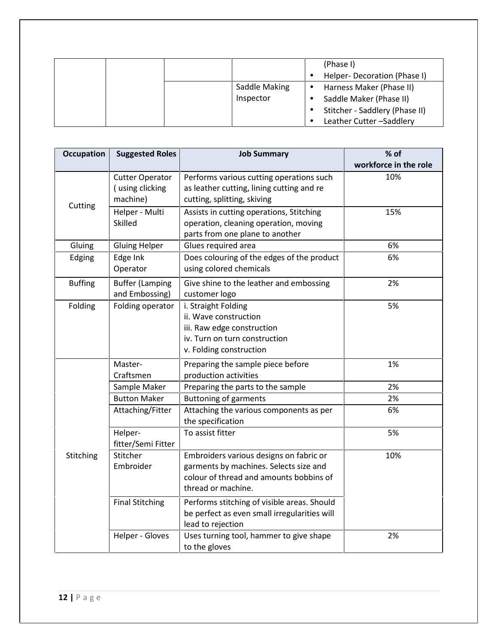|               | (Phase I)                             |
|---------------|---------------------------------------|
|               | Helper-Decoration (Phase I)           |
| Saddle Making | Harness Maker (Phase II)<br>$\bullet$ |
| Inspector     | Saddle Maker (Phase II)               |
|               | Stitcher - Saddlery (Phase II)        |
|               | Leather Cutter-Saddlery               |

| <b>Occupation</b> | <b>Suggested Roles</b>                                | <b>Job Summary</b>                                                                                                                                 | % of<br>workforce in the role |
|-------------------|-------------------------------------------------------|----------------------------------------------------------------------------------------------------------------------------------------------------|-------------------------------|
| Cutting           | <b>Cutter Operator</b><br>(using clicking<br>machine) | Performs various cutting operations such<br>as leather cutting, lining cutting and re<br>cutting, splitting, skiving                               | 10%                           |
|                   | Helper - Multi<br>Skilled                             | Assists in cutting operations, Stitching<br>operation, cleaning operation, moving<br>parts from one plane to another                               | 15%                           |
| Gluing            | <b>Gluing Helper</b>                                  | Glues required area                                                                                                                                | 6%                            |
| Edging            | Edge Ink<br>Operator                                  | Does colouring of the edges of the product<br>using colored chemicals                                                                              | 6%                            |
| <b>Buffing</b>    | <b>Buffer (Lamping</b><br>and Embossing)              | Give shine to the leather and embossing<br>customer logo                                                                                           | 2%                            |
| Folding           | Folding operator                                      | i. Straight Folding<br>ii. Wave construction<br>iii. Raw edge construction<br>iv. Turn on turn construction<br>v. Folding construction             | 5%                            |
|                   | Master-<br>Craftsmen                                  | Preparing the sample piece before<br>production activities                                                                                         | 1%                            |
|                   | Sample Maker                                          | Preparing the parts to the sample                                                                                                                  | 2%                            |
|                   | <b>Button Maker</b>                                   | <b>Buttoning of garments</b>                                                                                                                       | 2%                            |
|                   | Attaching/Fitter                                      | Attaching the various components as per<br>the specification                                                                                       | 6%                            |
|                   | Helper-<br>fitter/Semi Fitter                         | To assist fitter                                                                                                                                   | 5%                            |
| Stitching         | Stitcher<br>Embroider                                 | Embroiders various designs on fabric or<br>garments by machines. Selects size and<br>colour of thread and amounts bobbins of<br>thread or machine. | 10%                           |
|                   | <b>Final Stitching</b>                                | Performs stitching of visible areas. Should<br>be perfect as even small irregularities will<br>lead to rejection                                   |                               |
|                   | Helper - Gloves                                       | Uses turning tool, hammer to give shape<br>to the gloves                                                                                           | 2%                            |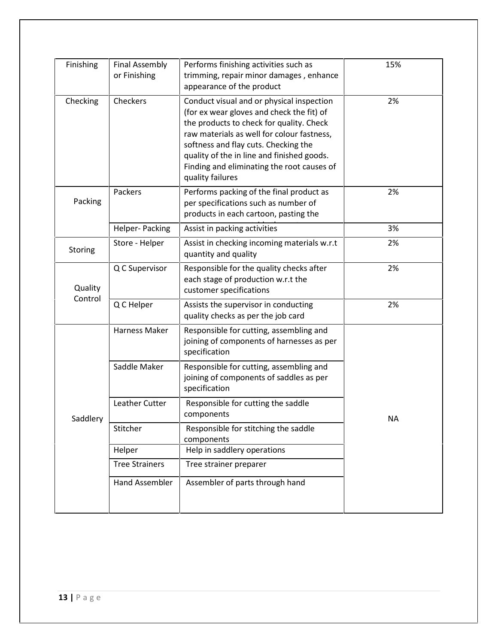| Finishing          | <b>Final Assembly</b><br>or Finishing | Performs finishing activities such as<br>trimming, repair minor damages, enhance<br>appearance of the product                                                                                                                                                                                                                            | 15%       |
|--------------------|---------------------------------------|------------------------------------------------------------------------------------------------------------------------------------------------------------------------------------------------------------------------------------------------------------------------------------------------------------------------------------------|-----------|
| Checking           | Checkers                              | Conduct visual and or physical inspection<br>(for ex wear gloves and check the fit) of<br>the products to check for quality. Check<br>raw materials as well for colour fastness,<br>softness and flay cuts. Checking the<br>quality of the in line and finished goods.<br>Finding and eliminating the root causes of<br>quality failures | 2%        |
| Packing            | Packers                               | Performs packing of the final product as<br>per specifications such as number of<br>products in each cartoon, pasting the                                                                                                                                                                                                                | 2%        |
|                    | Helper-Packing                        | Assist in packing activities                                                                                                                                                                                                                                                                                                             | 3%        |
| Storing            | Store - Helper                        | Assist in checking incoming materials w.r.t<br>quantity and quality                                                                                                                                                                                                                                                                      | 2%        |
| Quality<br>Control | Q C Supervisor                        | Responsible for the quality checks after<br>each stage of production w.r.t the<br>customer specifications                                                                                                                                                                                                                                | 2%        |
|                    | Q C Helper                            | Assists the supervisor in conducting<br>quality checks as per the job card                                                                                                                                                                                                                                                               | 2%        |
|                    | Harness Maker                         | Responsible for cutting, assembling and<br>joining of components of harnesses as per<br>specification                                                                                                                                                                                                                                    |           |
|                    | Saddle Maker                          | Responsible for cutting, assembling and<br>joining of components of saddles as per<br>specification                                                                                                                                                                                                                                      |           |
| Saddlery           | Leather Cutter                        | Responsible for cutting the saddle<br>components                                                                                                                                                                                                                                                                                         | <b>NA</b> |
|                    | Stitcher                              | Responsible for stitching the saddle<br>components                                                                                                                                                                                                                                                                                       |           |
|                    | Helper                                | Help in saddlery operations                                                                                                                                                                                                                                                                                                              |           |
|                    | <b>Tree Strainers</b>                 | Tree strainer preparer                                                                                                                                                                                                                                                                                                                   |           |
|                    | Hand Assembler                        | Assembler of parts through hand                                                                                                                                                                                                                                                                                                          |           |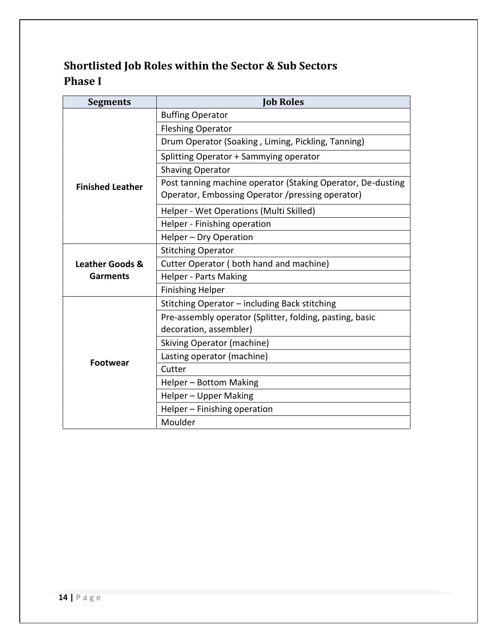### **Shortlisted Job Roles within the Sector & Sub Sectors Phase I**

| <b>Segments</b>            | <b>Job Roles</b>                                                                                                |
|----------------------------|-----------------------------------------------------------------------------------------------------------------|
|                            | <b>Buffing Operator</b>                                                                                         |
|                            | <b>Fleshing Operator</b>                                                                                        |
|                            | Drum Operator (Soaking, Liming, Pickling, Tanning)                                                              |
|                            | Splitting Operator + Sammying operator                                                                          |
|                            | <b>Shaving Operator</b>                                                                                         |
| <b>Finished Leather</b>    | Post tanning machine operator (Staking Operator, De-dusting<br>Operator, Embossing Operator /pressing operator) |
|                            | Helper - Wet Operations (Multi Skilled)                                                                         |
|                            | Helper - Finishing operation                                                                                    |
|                            | Helper - Dry Operation                                                                                          |
|                            | <b>Stitching Operator</b>                                                                                       |
| <b>Leather Goods &amp;</b> | Cutter Operator (both hand and machine)                                                                         |
| <b>Garments</b>            | <b>Helper - Parts Making</b>                                                                                    |
|                            | <b>Finishing Helper</b>                                                                                         |
|                            | Stitching Operator - including Back stitching                                                                   |
| <b>Footwear</b>            | Pre-assembly operator (Splitter, folding, pasting, basic<br>decoration, assembler)                              |
|                            | <b>Skiving Operator (machine)</b>                                                                               |
|                            | Lasting operator (machine)                                                                                      |
|                            | Cutter                                                                                                          |
|                            | Helper - Bottom Making                                                                                          |
|                            | Helper - Upper Making                                                                                           |
|                            | Helper - Finishing operation                                                                                    |
|                            | Moulder                                                                                                         |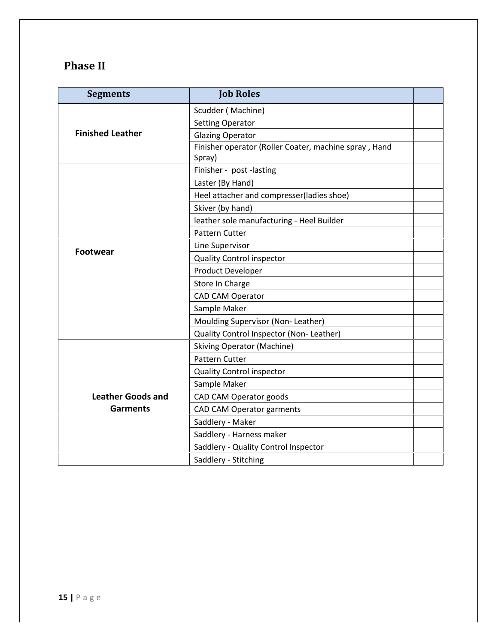## **Phase II**

| <b>Segments</b>          | <b>Job Roles</b>                                      |  |
|--------------------------|-------------------------------------------------------|--|
|                          | Scudder (Machine)                                     |  |
|                          | <b>Setting Operator</b>                               |  |
| <b>Finished Leather</b>  | <b>Glazing Operator</b>                               |  |
|                          | Finisher operator (Roller Coater, machine spray, Hand |  |
|                          | Spray)                                                |  |
|                          | Finisher - post -lasting                              |  |
|                          | Laster (By Hand)                                      |  |
|                          | Heel attacher and compresser(ladies shoe)             |  |
|                          | Skiver (by hand)                                      |  |
|                          | leather sole manufacturing - Heel Builder             |  |
|                          | Pattern Cutter                                        |  |
| <b>Footwear</b>          | Line Supervisor                                       |  |
|                          | <b>Quality Control inspector</b>                      |  |
|                          | Product Developer                                     |  |
|                          | Store In Charge                                       |  |
|                          | <b>CAD CAM Operator</b>                               |  |
|                          | Sample Maker                                          |  |
|                          | Moulding Supervisor (Non-Leather)                     |  |
|                          | Quality Control Inspector (Non- Leather)              |  |
|                          | <b>Skiving Operator (Machine)</b>                     |  |
|                          | Pattern Cutter                                        |  |
|                          | Quality Control inspector                             |  |
|                          | Sample Maker                                          |  |
| <b>Leather Goods and</b> | CAD CAM Operator goods                                |  |
| <b>Garments</b>          | <b>CAD CAM Operator garments</b>                      |  |
|                          | Saddlery - Maker                                      |  |
|                          | Saddlery - Harness maker                              |  |
|                          | Saddlery - Quality Control Inspector                  |  |
|                          | Saddlery - Stitching                                  |  |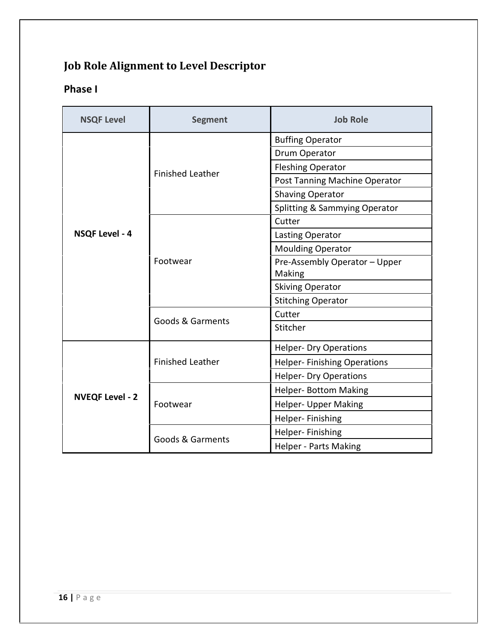# **Job Role Alignment to Level Descriptor**

#### **Phase I**

| <b>NSQF Level</b>      | <b>Segment</b>                      | <b>Job Role</b>                    |
|------------------------|-------------------------------------|------------------------------------|
|                        | <b>Finished Leather</b><br>Footwear | <b>Buffing Operator</b>            |
|                        |                                     | Drum Operator                      |
|                        |                                     | <b>Fleshing Operator</b>           |
|                        |                                     | Post Tanning Machine Operator      |
|                        |                                     | <b>Shaving Operator</b>            |
|                        |                                     | Splitting & Sammying Operator      |
|                        |                                     | Cutter                             |
| <b>NSQF Level - 4</b>  |                                     | Lasting Operator                   |
|                        |                                     | <b>Moulding Operator</b>           |
|                        |                                     | Pre-Assembly Operator - Upper      |
|                        |                                     | Making                             |
|                        |                                     | <b>Skiving Operator</b>            |
|                        |                                     | <b>Stitching Operator</b>          |
|                        | <b>Goods &amp; Garments</b>         | Cutter                             |
|                        |                                     | Stitcher                           |
| <b>NVEQF Level - 2</b> | <b>Finished Leather</b>             | <b>Helper- Dry Operations</b>      |
|                        |                                     | <b>Helper-Finishing Operations</b> |
|                        |                                     | <b>Helper- Dry Operations</b>      |
|                        | Footwear                            | <b>Helper- Bottom Making</b>       |
|                        |                                     | Helper- Upper Making               |
|                        |                                     | Helper-Finishing                   |
|                        |                                     | Helper-Finishing                   |
|                        | <b>Goods &amp; Garments</b>         | <b>Helper - Parts Making</b>       |